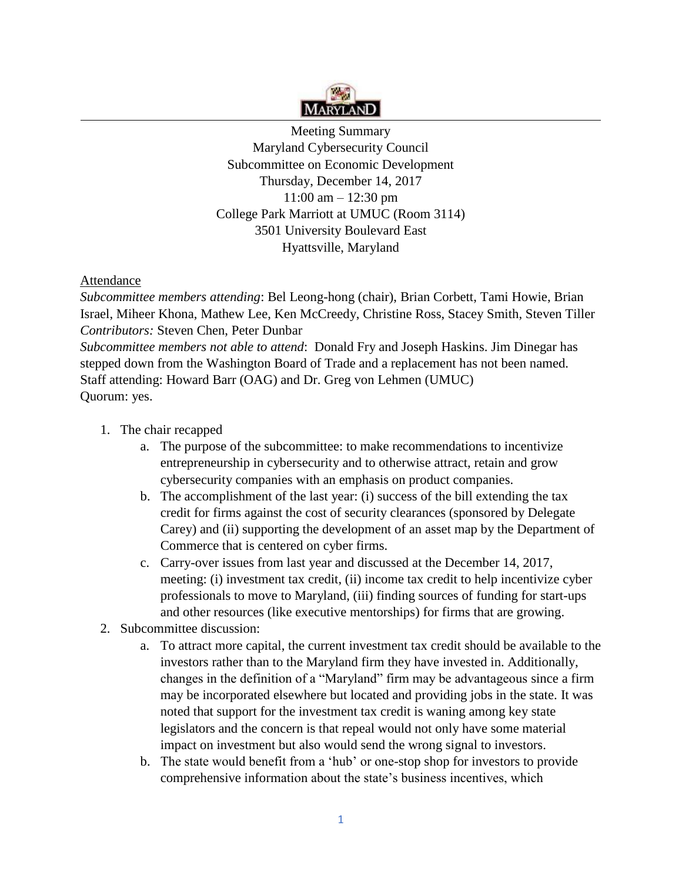

Meeting Summary Maryland Cybersecurity Council Subcommittee on Economic Development Thursday, December 14, 2017 11:00 am – 12:30 pm College Park Marriott at UMUC (Room 3114) 3501 University Boulevard East Hyattsville, Maryland

## Attendance

*Subcommittee members attending*: Bel Leong-hong (chair), Brian Corbett, Tami Howie, Brian Israel, Miheer Khona, Mathew Lee, Ken McCreedy, Christine Ross, Stacey Smith, Steven Tiller *Contributors:* Steven Chen, Peter Dunbar *Subcommittee members not able to attend*: Donald Fry and Joseph Haskins. Jim Dinegar has stepped down from the Washington Board of Trade and a replacement has not been named. Staff attending: Howard Barr (OAG) and Dr. Greg von Lehmen (UMUC) Quorum: yes.

- 1. The chair recapped
	- a. The purpose of the subcommittee: to make recommendations to incentivize entrepreneurship in cybersecurity and to otherwise attract, retain and grow cybersecurity companies with an emphasis on product companies.
	- b. The accomplishment of the last year: (i) success of the bill extending the tax credit for firms against the cost of security clearances (sponsored by Delegate Carey) and (ii) supporting the development of an asset map by the Department of Commerce that is centered on cyber firms.
	- c. Carry-over issues from last year and discussed at the December 14, 2017, meeting: (i) investment tax credit, (ii) income tax credit to help incentivize cyber professionals to move to Maryland, (iii) finding sources of funding for start-ups and other resources (like executive mentorships) for firms that are growing.
- 2. Subcommittee discussion:
	- a. To attract more capital, the current investment tax credit should be available to the investors rather than to the Maryland firm they have invested in. Additionally, changes in the definition of a "Maryland" firm may be advantageous since a firm may be incorporated elsewhere but located and providing jobs in the state. It was noted that support for the investment tax credit is waning among key state legislators and the concern is that repeal would not only have some material impact on investment but also would send the wrong signal to investors.
	- b. The state would benefit from a 'hub' or one-stop shop for investors to provide comprehensive information about the state's business incentives, which